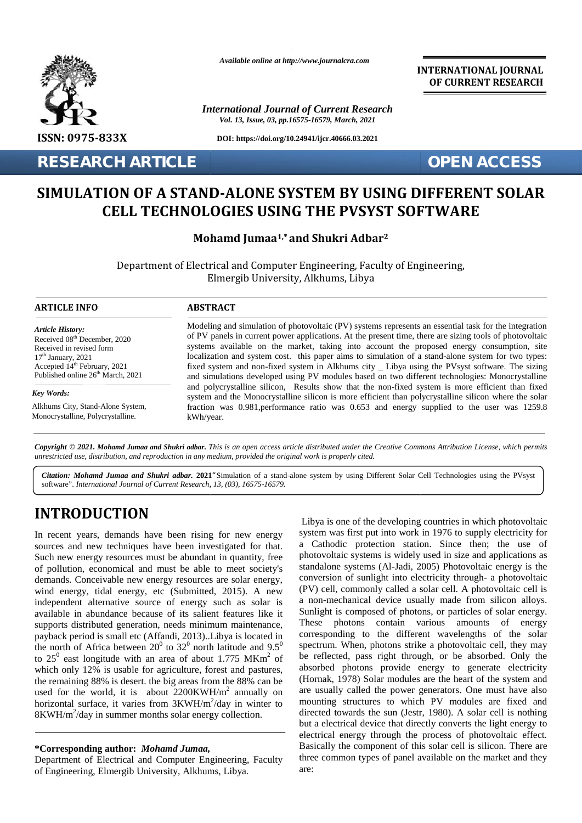

*Available online at http://www.journalcra.com*

*International Journal of Current Research Vol. 13, Issue, 03, pp.16575-16579, March, 2021*

**DOI: https://doi.org/10.24941/ijcr.40666.03.2021**

**RESEARCH ARTICLE OPEN ACCESS**

**INTERNATIONAL JOURNAL OF CURRENT RESEARCH**

# SIMULATION OF A STAND-ALONE SYSTEM BY USING DIFFERENT SOLAR<br>CELL TECHNOLOGIES USING THE PVSYST SOFTWARE **CELL TECHNOLOGIES USING THE PVSYST SOFTWARE**

| <b>RESEARCH ARTICLE</b><br><b>OPEN ACCESS</b>                                                                                                                                                                                                                                                                                                                                                                                                                                                                                                                                                                              |  |  |  |
|----------------------------------------------------------------------------------------------------------------------------------------------------------------------------------------------------------------------------------------------------------------------------------------------------------------------------------------------------------------------------------------------------------------------------------------------------------------------------------------------------------------------------------------------------------------------------------------------------------------------------|--|--|--|
| SIMULATION OF A STAND-ALONE SYSTEM BY USING DIFFERENT SOLAR<br><b>CELL TECHNOLOGIES USING THE PVSYST SOFTWARE</b>                                                                                                                                                                                                                                                                                                                                                                                                                                                                                                          |  |  |  |
| Mohamd Jumaa <sup>1,*</sup> and Shukri Adbar <sup>2</sup>                                                                                                                                                                                                                                                                                                                                                                                                                                                                                                                                                                  |  |  |  |
| Department of Electrical and Computer Engineering, Faculty of Engineering,<br>Elmergib University, Alkhums, Libya                                                                                                                                                                                                                                                                                                                                                                                                                                                                                                          |  |  |  |
| <b>ABSTRACT</b>                                                                                                                                                                                                                                                                                                                                                                                                                                                                                                                                                                                                            |  |  |  |
| Modeling and simulation of photovoltaic (PV) systems represents an essential task for the integration<br>of PV panels in current power applications. At the present time, there are sizing tools of photovoltaic<br>systems available on the market, taking into account the proposed energy consumption, site<br>localization and system cost. this paper aims to simulation of a stand-alone system for two types:<br>fixed system and non-fixed system in Alkhums city _ Libya using the PVsyst software. The sizing<br>and simulations developed using PV modules based on two different technologies: Monocrystalline |  |  |  |
| and polycrystalline silicon, Results show that the non-fixed system is more efficient than fixed<br>system and the Monocrystalline silicon is more efficient than polycrystalline silicon where the solar                                                                                                                                                                                                                                                                                                                                                                                                                  |  |  |  |
| fraction was 0.981, performance ratio was 0.653 and energy supplied to the user was 1259.8<br>kWh/year.                                                                                                                                                                                                                                                                                                                                                                                                                                                                                                                    |  |  |  |
|                                                                                                                                                                                                                                                                                                                                                                                                                                                                                                                                                                                                                            |  |  |  |

Citation: Mohamd Jumaa and Shukri adbar. 2021 "Simulation of a stand-alone system by using Different Solar Cell Technologies using the PVsyst software". *International Journal of Current Research, 13, (03), 16575-16579.*

# **INTRODUCTION INTRODUCTION**

In recent years, demands have been rising for new energy sources and new techniques have been investigated for that. Such new energy resources must be abundant in quantity, free pho of pollution, economical and must be able to meet society's demands. Conceivable new energy resources are solar energy, wind energy, tidal energy, etc (Submitted, 2015). A new demands. Conceivable new energy resources are solar energy, convind energy, tidal energy, etc (Submitted, 2015). A new (P) independent alternative source of energy such as solar is available in abundance because of its salient features like it supports distributed generation, needs minimum maintenance, payback period is small etc (Affandi, 2013)..Libya is located in the north of Africa between  $20^0$  to  $32^0$  north latitude and  $9.5^0$  sp to  $25^{\circ}$  east longitude with an area of about 1.775 MKm<sup>2</sup> of be rea which only 12% is usable for agriculture, forest and pastures, the remaining 88% is desert. the big areas from the 88% can be used for the world, it is about  $2200KWH/m^2$  annually on are u horizontal surface, it varies from 3KWH/m<sup>2</sup>/day in winter to mount 8KWH/m<sup>2</sup>/day in summer months solar energy collection. In recent years, demands have been rising for<br>sources and new techniques have been investiga<br>Such new energy resources must be abundant in a<br>of pollution, economical and must be able to m payback period is small etc (Affandi, 2013)..Libya is located in<br>the north of Africa between 20<sup>0</sup> to 32<sup>0</sup> north latitude and 9.5<sup>0</sup><br>to 25<sup>0</sup> east longitude with an area of about 1.775 MKm<sup>2</sup> of<br>which only 12% is usable the remaining 88% is desert. the big areas from the 88 used for the world, it is about 2200KWH/m<sup>2</sup> an horizontal surface, it varies from 3KWH/m<sup>2</sup>/day in 8KWH/m<sup>2</sup>/day in summer months solar energy collection

### **\*Corresponding author:** *Mohamd Jumaa,* **\*Corresponding** *Mohamd Jumaa,*

Department of Electrical and Computer Engineering, Faculty of Engineering, Elmergib University, Alkhums, Libya.

Libya is one of the developing countries in which photovoltaic system was first put into work in 1976 to supply electricity for a Cathodic protection station. Since then; the use of photovoltaic systems is widely used in size and applications as standalone systems (Al-Jadi, 2005) Photovoltaic energy is the conversion of sunlight into electricity through- a photovoltaic (PV) cell, commonly called a solar cell. A photovoltaic cell is a non-mechanical device usually made from silicon alloys. Sunlight is composed of photons, or particles of solar energy. These photons contain various amounts of energy corresponding to the different wavelengths of the solar spectrum. When, photons strike a photovoltaic cell, they may corresponding to the different wavelengths of the solar spectrum. When, photons strike a photovoltaic cell, they may be reflected, pass right through, or be absorbed. Only the absorbed photons provide energy to generate electricity (Hornak, 1978) Solar modules are the heart of the system and are usually called the power generators. One must have also mounting structures to which PV modules are fixed and directed towards the sun (Jestr, 1980). A solar cell is nothing but a electrical device that directly converts the light energy to electrical energy through the process of photovoltaic effect. Basically the component of this solar cell is silicon. There are three common types of panel available on the market and they are: **Example 12** The countries in which photovoltaic in the developing countries in which photovoltaic<br>In recent years, demands have been investigated for that. a Cathodic protection station. Since then; the use of<br>Such new c 1978) system was first put in except the proposal called One proposal energy consentation and system. And provide the usual home simulation and system and special and system and special and system and special and the prop techniques have been investigated for that. a Cathodic protection station. Since then; the user<br>egy resources must be ablued and partity, free photovolatic systems is widely used in size and application<br>ceronomical and mu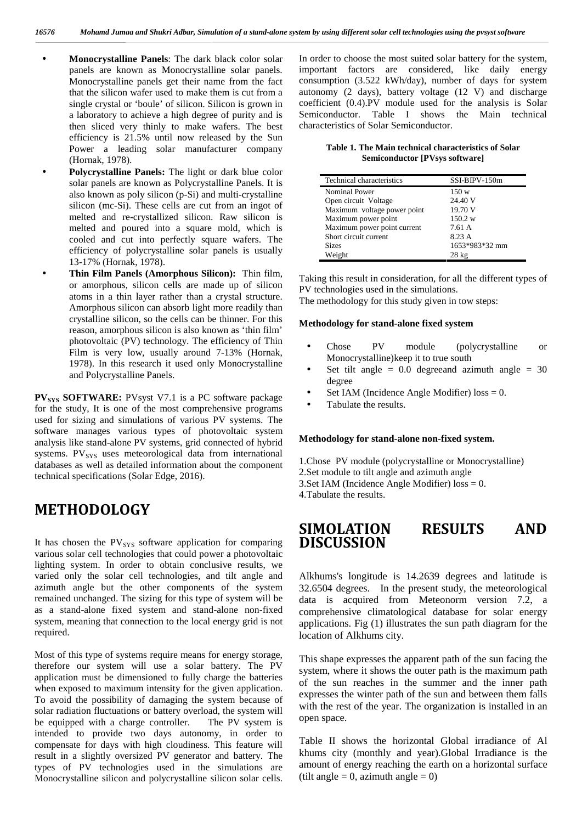- **Monocrystalline Panels**: The dark black color solar panels are known as Monocrystalline solar panels. Monocrystalline panels get their name from the fact that the silicon wafer used to make them is cut from a single crystal or 'boule' of silicon. Silicon is grown in a laboratory to achieve a high degree of purity and is then sliced very thinly to make wafers. The best efficiency is 21.5% until now released by the Sun Power a leading solar manufacturer company (Hornak, 1978).
- **Polycrystalline Panels:** The light or dark blue color solar panels are known as Polycrystalline Panels. It is also known as poly silicon (p-Si) and multi-crystalline silicon (mc-Si). These cells are cut from an ingot of melted and re-crystallized silicon. Raw silicon is melted and poured into a square mold, which is cooled and cut into perfectly square wafers. The efficiency of polycrystalline solar panels is usually 13-17% (Hornak, 1978).
- **Thin Film Panels (Amorphous Silicon):** Thin film, or amorphous, silicon cells are made up of silicon atoms in a thin layer rather than a crystal structure. Amorphous silicon can absorb light more readily than crystalline silicon, so the cells can be thinner. For this reason, amorphous silicon is also known as 'thin film' photovoltaic (PV) technology. The efficiency of Thin Film is very low, usually around 7-13% (Hornak, 1978). In this research it used only Monocrystalline and Polycrystalline Panels.

**PV**<sub>SYS</sub> SOFTWARE: PVsyst V7.1 is a PC software package for the study, It is one of the most comprehensive programs used for sizing and simulations of various PV systems. The software manages various types of photovoltaic system analysis like stand-alone PV systems, grid connected of hybrid systems. PV<sub>SYS</sub> uses meteorological data from international databases as well as detailed information about the component technical specifications (Solar Edge, 2016).

# **METHODOLOGY**

It has chosen the  $PV_{SYS}$  software application for comparing various solar cell technologies that could power a photovoltaic lighting system. In order to obtain conclusive results, we varied only the solar cell technologies, and tilt angle and azimuth angle but the other components of the system remained unchanged. The sizing for this type of system will be as a stand-alone fixed system and stand-alone non-fixed system, meaning that connection to the local energy grid is not required.

Most of this type of systems require means for energy storage, therefore our system will use a solar battery. The PV application must be dimensioned to fully charge the batteries when exposed to maximum intensity for the given application. To avoid the possibility of damaging the system because of solar radiation fluctuations or battery overload, the system will be equipped with a charge controller. The PV system is intended to provide two days autonomy, in order to compensate for days with high cloudiness. This feature will result in a slightly oversized PV generator and battery. The types of PV technologies used in the simulations are Monocrystalline silicon and polycrystalline silicon solar cells.

In order to choose the most suited solar battery for the system, important factors are considered, like daily energy consumption (3.522 kWh/day), number of days for system autonomy (2 days), battery voltage (12 V) and discharge coefficient (0.4).PV module used for the analysis is Solar Semiconductor. Table I shows the Main technical characteristics of Solar Semiconductor.

**Table 1. The Main technical characteristics of Solar Semiconductor [PVsys software]**

| Technical characteristics   | SSI-BIPV-150m   |
|-----------------------------|-----------------|
| <b>Nominal Power</b>        | 150 w           |
| Open circuit Voltage        | 24.40 V         |
| Maximum voltage power point | 19.70 V         |
| Maximum power point         | 150.2 w         |
| Maximum power point current | 7.61 A          |
| Short circuit current       | 8.23 A          |
| <b>Sizes</b>                | 1653*983*32 mm  |
| Weight                      | $28 \text{ kg}$ |

Taking this result in consideration, for all the different types of PV technologies used in the simulations.

The methodology for this study given in tow steps:

## **Methodology for stand-alone fixed system**

- Chose PV module (polycrystalline or Monocrystalline)keep it to true south
- Set tilt angle  $= 0.0$  degreeand azimuth angle  $= 30$ degree
- Set IAM (Incidence Angle Modifier) loss = 0.
- Tabulate the results.

#### **Methodology for stand-alone non-fixed system.**

1.Chose PV module (polycrystalline or Monocrystalline) 2.Set module to tilt angle and azimuth angle 3.Set IAM (Incidence Angle Modifier) loss = 0. 4.Tabulate the results.

# **SIMOLATION RESULTS AND DISCUSSION**

Alkhums's longitude is 14.2639 degrees and latitude is 32.6504 degrees. In the present study, the meteorological data is acquired from Meteonorm version 7.2, a comprehensive climatological database for solar energy applications. Fig (1) illustrates the sun path diagram for the location of Alkhums city.

This shape expresses the apparent path of the sun facing the system, where it shows the outer path is the maximum path of the sun reaches in the summer and the inner path expresses the winter path of the sun and between them falls with the rest of the year. The organization is installed in an open space.

Table II shows the horizontal Global irradiance of Al khums city (monthly and year).Global Irradiance is the amount of energy reaching the earth on a horizontal surface (tilt angle  $= 0$ , azimuth angle  $= 0$ )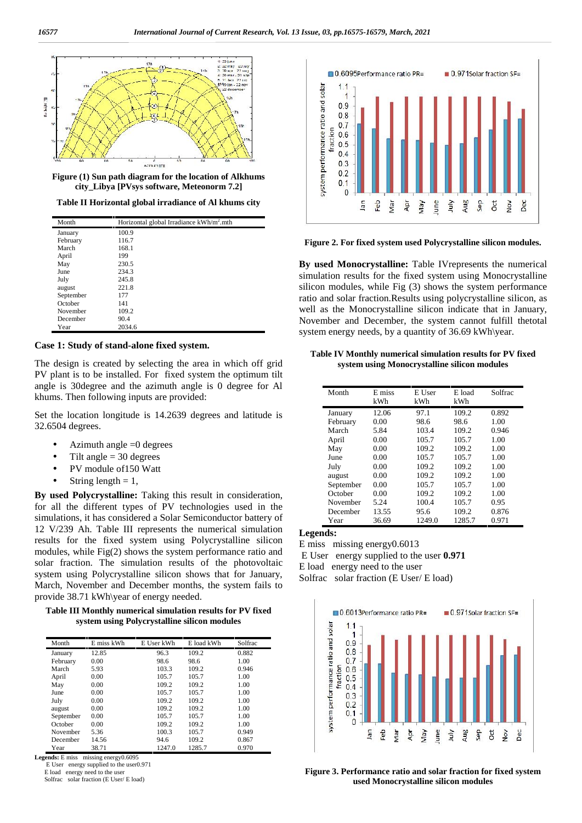

**Figure (1) Sun path diagram for the location of Alkhums city\_Libya [PVsys software, Meteonorm 7.2]**

**Table II Horizontal global irradiance of Al khums city**

| Month     | Horizontal global Irradiance kWh/m <sup>2</sup> .mth |
|-----------|------------------------------------------------------|
| January   | 100.9                                                |
| February  | 116.7                                                |
| March     | 168.1                                                |
| April     | 199                                                  |
| May       | 230.5                                                |
| June      | 234.3                                                |
| July      | 245.8                                                |
| august    | 221.8                                                |
| September | 177                                                  |
| October   | 141                                                  |
| November  | 109.2                                                |
| December  | 90.4                                                 |
| Year      | 2034.6                                               |

## **Case 1: Study of stand-alone fixed system.**

The design is created by selecting the area in which off grid PV plant is to be installed. For fixed system the optimum tilt angle is 30degree and the azimuth angle is 0 degree for Al khums. Then following inputs are provided:

Set the location longitude is 14.2639 degrees and latitude is 32.6504 degrees.

- Azimuth angle  $=0$  degrees
- Tilt angle  $=$  30 degrees
- PV module of150 Watt
- String length  $= 1$ ,

**By used Polycrystalline:** Taking this result in consideration, for all the different types of PV technologies used in the simulations, it has considered a Solar Semiconductor battery of 12 V/239 Ah. Table III represents the numerical simulation results for the fixed system using Polycrystalline silicon modules, while Fig(2) shows the system performance ratio and solar fraction. The simulation results of the photovoltaic system using Polycrystalline silicon shows that for January, March, November and December months, the system fails to provide 38.71 kWh\year of energy needed.

**Table III Monthly numerical simulation results for PV fixed system using Polycrystalline silicon modules**

| Month     | E miss kWh | E User kWh | E load kWh | Solfrac |
|-----------|------------|------------|------------|---------|
| January   | 12.85      | 96.3       | 109.2      | 0.882   |
| February  | 0.00       | 98.6       | 98.6       | 1.00    |
| March     | 5.93       | 103.3      | 109.2      | 0.946   |
| April     | 0.00       | 105.7      | 105.7      | 1.00    |
| May       | 0.00       | 109.2      | 109.2      | 1.00    |
| June      | 0.00       | 105.7      | 105.7      | 1.00    |
| July      | 0.00       | 109.2      | 109.2      | 1.00    |
| august    | 0.00       | 109.2      | 109.2      | 1.00    |
| September | 0.00       | 105.7      | 105.7      | 1.00    |
| October   | 0.00       | 109.2      | 109.2      | 1.00    |
| November  | 5.36       | 100.3      | 105.7      | 0.949   |
| December  | 14.56      | 94.6       | 109.2      | 0.867   |
| Year      | 38.71      | 1247.0     | 1285.7     | 0.970   |

**Legends:** E miss missing energy0.6095

E User energy supplied to the user0.971

E load energy need to the user Solfrac solar fraction (E User/ E load)



**Figure 2. For fixed system used Polycrystalline silicon modules.**

**By used Monocrystalline:** Table IVrepresents the numerical simulation results for the fixed system using Monocrystalline silicon modules, while Fig (3) shows the system performance ratio and solar fraction.Results using polycrystalline silicon, as well as the Monocrystalline silicon indicate that in January, November and December, the system cannot fulfill thetotal system energy needs, by a quantity of 36.69 kWh\year.

#### **Table IV Monthly numerical simulation results for PV fixed system using Monocrystalline silicon modules**

| Month     | E miss<br>kWh | E User<br>kWh | E load<br>kWh | Solfrac |
|-----------|---------------|---------------|---------------|---------|
| January   | 12.06         | 97.1          | 109.2         | 0.892   |
| February  | 0.00          | 98.6          | 98.6          | 1.00    |
| March     | 5.84          | 103.4         | 109.2         | 0.946   |
| April     | 0.00          | 105.7         | 105.7         | 1.00    |
| May       | 0.00          | 109.2         | 109.2         | 1.00    |
| June      | 0.00          | 105.7         | 105.7         | 1.00    |
| July      | 0.00          | 109.2         | 109.2         | 1.00    |
| august    | 0.00          | 109.2         | 109.2         | 1.00    |
| September | 0.00          | 105.7         | 105.7         | 1.00    |
| October   | 0.00          | 109.2         | 109.2         | 1.00    |
| November  | 5.24          | 100.4         | 105.7         | 0.95    |
| December  | 13.55         | 95.6          | 109.2         | 0.876   |
| Year      | 36.69         | 1249.0        | 1285.7        | 0.971   |

# **Legends:**

E miss missing energy0.6013

E User energy supplied to the user **0.971**

E load energy need to the user

Solfrac solar fraction (E User/ E load)



**Figure 3. Performance ratio and solar fraction for fixed system used Monocrystalline silicon modules**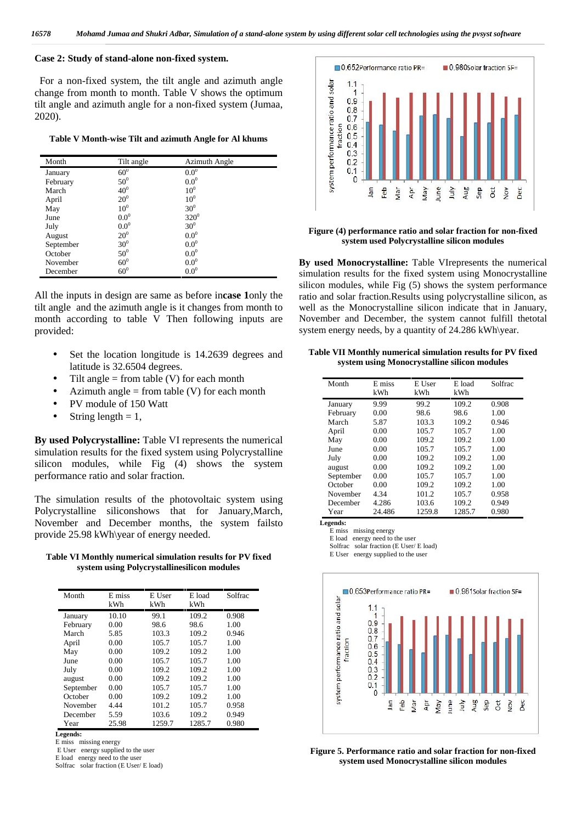## **Case 2: Study of stand-alone non-fixed system.**

For a non-fixed system, the tilt angle and azimuth angle For a non-fixed system, the tilt angle and azimuth angle<br>change from month to month. Table V shows the optimum<br>tilt angle and azimuth angle for a non-fixed system (Jumaa,<br>2020).<br>Table V Month-wise Tilt and azimuth Angle f tilt angle and azimuth angle for a non-fixed system (Jumaa, 2020).

**Table V Month-wise Tilt and azimuth Angle for Al khums**

| Month     | Tilt angle       | Azimuth Angle   |  |
|-----------|------------------|-----------------|--|
| January   | $60^0$           | $0.0^{0}$       |  |
| February  | $50^0$           | $0.0^0$         |  |
| March     | 40 <sup>0</sup>  | 10 <sup>0</sup> |  |
| April     | $20^{0}$         | 10 <sup>0</sup> |  |
| May       | 10 <sup>0</sup>  | 30 <sup>0</sup> |  |
| June      | 0.0 <sup>0</sup> | $320^0$         |  |
| July      | $0.0^0$          | 30 <sup>0</sup> |  |
| August    | $20^{0}$         | $0.0^0$         |  |
| September | 30 <sup>0</sup>  | $0.0^0$         |  |
| October   | $50^0$           | $0.0^0$         |  |
| November  | 60 <sup>0</sup>  | $0.0^0$         |  |
| December  | $60^0$           | $0.0^0$         |  |

All the inputs in design are same as before in**case 1**only the tilt angle and the azimuth angle is it changes from month to month according to table V Then following inputs are provided:

- Set the location longitude is 14.2639 degrees and latitude is 32.6504 degrees.
- Tilt angle  $=$  from table (V) for each month
- Azimuth angle = from table  $(V)$  for each month
- PV module of 150 Watt
- String length  $= 1$ ,

**By used Polycrystalline:** Table VI represents the numerical simulation results for the fixed system using Polycrystalline silicon modules, while Fig (4) shows the system performance ratio and solar fraction.

The simulation results of the photovoltaic system using Polycrystalline siliconshows that for January,March, November and December months, the system failsto provide 25.98 kWh\year of energy needed.

**Table VI Monthly numerical simulation results for PV fixed system using Polycrystallinesilicon modules**

| Month     | E miss | E User | E load | Solfrac |
|-----------|--------|--------|--------|---------|
|           | kWh    | kWh    | kWh    |         |
| January   | 10.10  | 99.1   | 109.2  | 0.908   |
| February  | 0.00   | 98.6   | 98.6   | 1.00    |
| March     | 5.85   | 103.3  | 109.2  | 0.946   |
| April     | 0.00   | 105.7  | 105.7  | 1.00    |
| May       | 0.00   | 109.2  | 109.2  | 1.00    |
| June      | 0.00   | 105.7  | 105.7  | 1.00    |
| July      | 0.00   | 109.2  | 109.2  | 1.00    |
| august    | 0.00   | 109.2  | 109.2  | 1.00    |
| September | 0.00   | 105.7  | 105.7  | 1.00    |
| October   | 0.00   | 109.2  | 109.2  | 1.00    |
| November  | 4.44   | 101.2  | 105.7  | 0.958   |
| December  | 5.59   | 103.6  | 109.2  | 0.949   |
| Year      | 25.98  | 1259.7 | 1285.7 | 0.980   |

**Legends:**

E miss missing energy

E User energy supplied to the user

E load energy need to the user

Solfrac solar fraction (E User/ E load)



#### **Figure (4) performance ratio and solar fraction for non-fixed system used Polycrystalline silicon modules**

**By used Monocrystalline:** Table VIrepresents the numerical simulation results for the fixed system using Monocrystalline silicon modules, while Fig (5) shows the system performance ratio and solar fraction.Results using polycrystalline silicon, as well as the Monocrystalline silicon indicate that in January, November and December, the system cannot fulfill thetotal system energy needs, by a quantity of 24.286 kWh\year.

#### **Table VII Monthly numerical simulation results for PV fixed system using Monocrystalline silicon modules**

| Month     | E miss<br>kWh | E User<br>kWh | E load<br>kWh | Solfrac |
|-----------|---------------|---------------|---------------|---------|
| January   | 9.99          | 99.2          | 109.2         | 0.908   |
| February  | 0.00          | 98.6          | 98.6          | 1.00    |
| March     | 5.87          | 103.3         | 109.2         | 0.946   |
| April     | 0.00          | 105.7         | 105.7         | 1.00    |
| May       | 0.00          | 109.2         | 109.2         | 1.00    |
| June      | 0.00          | 105.7         | 105.7         | 1.00    |
| July      | 0.00          | 109.2         | 109.2         | 1.00    |
| august    | 0.00          | 109.2         | 109.2         | 1.00    |
| September | 0.00          | 105.7         | 105.7         | 1.00    |
| October   | 0.00          | 109.2         | 109.2         | 1.00    |
| November  | 4.34          | 101.2         | 105.7         | 0.958   |
| December  | 4.286         | 103.6         | 109.2         | 0.949   |
| Year      | 24.486        | 1259.8        | 1285.7        | 0.980   |

**Legends:**

E miss missing energy

E load energy need to the user

Solfrac solar fraction (E User/ E load)

E User energy supplied to the user



**Figure 5. Performance ratio and solar fraction for non-fixed system used Monocrystalline silicon modules**